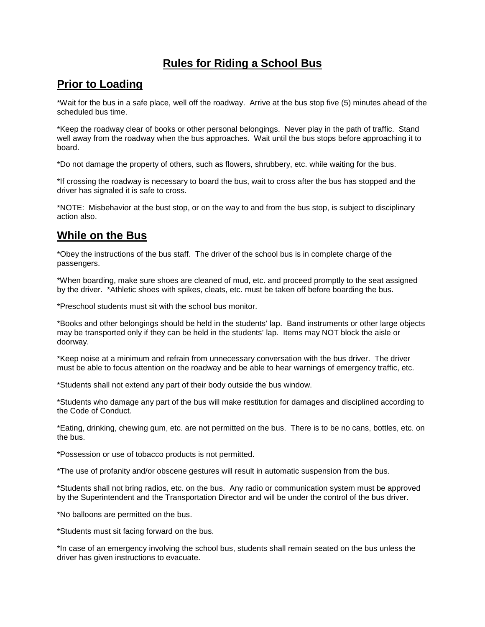# **Rules for Riding a School Bus**

# **Prior to Loading**

\*Wait for the bus in a safe place, well off the roadway. Arrive at the bus stop five (5) minutes ahead of the scheduled bus time.

\*Keep the roadway clear of books or other personal belongings. Never play in the path of traffic. Stand well away from the roadway when the bus approaches. Wait until the bus stops before approaching it to board.

\*Do not damage the property of others, such as flowers, shrubbery, etc. while waiting for the bus.

\*If crossing the roadway is necessary to board the bus, wait to cross after the bus has stopped and the driver has signaled it is safe to cross.

\*NOTE: Misbehavior at the bust stop, or on the way to and from the bus stop, is subject to disciplinary action also.

### **While on the Bus**

\*Obey the instructions of the bus staff. The driver of the school bus is in complete charge of the passengers.

\*When boarding, make sure shoes are cleaned of mud, etc. and proceed promptly to the seat assigned by the driver. \*Athletic shoes with spikes, cleats, etc. must be taken off before boarding the bus.

\*Preschool students must sit with the school bus monitor.

\*Books and other belongings should be held in the students' lap. Band instruments or other large objects may be transported only if they can be held in the students' lap. Items may NOT block the aisle or doorway.

\*Keep noise at a minimum and refrain from unnecessary conversation with the bus driver. The driver must be able to focus attention on the roadway and be able to hear warnings of emergency traffic, etc.

\*Students shall not extend any part of their body outside the bus window.

\*Students who damage any part of the bus will make restitution for damages and disciplined according to the Code of Conduct.

\*Eating, drinking, chewing gum, etc. are not permitted on the bus. There is to be no cans, bottles, etc. on the bus.

\*Possession or use of tobacco products is not permitted.

\*The use of profanity and/or obscene gestures will result in automatic suspension from the bus.

\*Students shall not bring radios, etc. on the bus. Any radio or communication system must be approved by the Superintendent and the Transportation Director and will be under the control of the bus driver.

\*No balloons are permitted on the bus.

\*Students must sit facing forward on the bus.

\*In case of an emergency involving the school bus, students shall remain seated on the bus unless the driver has given instructions to evacuate.